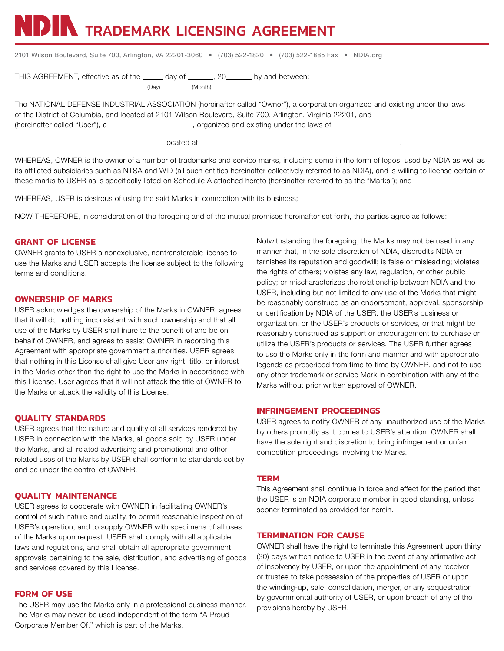NDIN TRADEMARK LICENSING AGREEMENT

| 2101 Wilson Boulevard, Suite 700, Arlington, VA 22201-3060 • (703) 522-1820 • (703) 522-1885 Fax • NDIA.org |  |  |  |
|-------------------------------------------------------------------------------------------------------------|--|--|--|
|-------------------------------------------------------------------------------------------------------------|--|--|--|

THIS AGREEMENT, effective as of the \_\_\_\_\_ day of \_\_\_\_\_\_, 20\_\_\_\_\_\_ by and between:

(Day) (Month)

The NATIONAL DEFENSE INDUSTRIAL ASSOCIATION (hereinafter called "Owner"), a corporation organized and existing under the laws of the District of Columbia, and located at 2101 Wilson Boulevard, Suite 700, Arlington, Virginia 22201, and (hereinafter called "User"), a\_\_\_\_\_\_\_\_\_\_\_\_\_\_\_\_\_\_\_\_\_\_, organized and existing under the laws of

located at  $\overline{\phantom{a}}$ 

WHEREAS, OWNER is the owner of a number of trademarks and service marks, including some in the form of logos, used by NDIA as well as its affiliated subsidiaries such as NTSA and WID (all such entities hereinafter collectively referred to as NDIA), and is willing to license certain of these marks to USER as is specifically listed on Schedule A attached hereto (hereinafter referred to as the "Marks"); and

WHEREAS, USER is desirous of using the said Marks in connection with its business;

NOW THEREFORE, in consideration of the foregoing and of the mutual promises hereinafter set forth, the parties agree as follows:

# **GRANT OF LICENSE**

OWNER grants to USER a nonexclusive, nontransferable license to use the Marks and USER accepts the license subject to the following terms and conditions.

### **OWNERSHIP OF MARKS**

USER acknowledges the ownership of the Marks in OWNER, agrees that it will do nothing inconsistent with such ownership and that all use of the Marks by USER shall inure to the benefit of and be on behalf of OWNER, and agrees to assist OWNER in recording this Agreement with appropriate government authorities. USER agrees that nothing in this License shall give User any right, title, or interest in the Marks other than the right to use the Marks in accordance with this License. User agrees that it will not attack the title of OWNER to the Marks or attack the validity of this License.

### **QUALITY STANDARDS**

USER agrees that the nature and quality of all services rendered by USER in connection with the Marks, all goods sold by USER under the Marks, and all related advertising and promotional and other related uses of the Marks by USER shall conform to standards set by and be under the control of OWNER.

### **QUALITY MAINTENANCE**

USER agrees to cooperate with OWNER in facilitating OWNER's control of such nature and quality, to permit reasonable inspection of USER's operation, and to supply OWNER with specimens of all uses of the Marks upon request. USER shall comply with all applicable laws and regulations, and shall obtain all appropriate government approvals pertaining to the sale, distribution, and advertising of goods and services covered by this License.

### **FORM OF USE**

The USER may use the Marks only in a professional business manner. The Marks may never be used independent of the term "A Proud Corporate Member Of," which is part of the Marks.

Notwithstanding the foregoing, the Marks may not be used in any manner that, in the sole discretion of NDIA, discredits NDIA or tarnishes its reputation and goodwill; is false or misleading; violates the rights of others; violates any law, regulation, or other public policy; or mischaracterizes the relationship between NDIA and the USER, including but not limited to any use of the Marks that might be reasonably construed as an endorsement, approval, sponsorship, or certification by NDIA of the USER, the USER's business or organization, or the USER's products or services, or that might be reasonably construed as support or encouragement to purchase or utilize the USER's products or services. The USER further agrees to use the Marks only in the form and manner and with appropriate legends as prescribed from time to time by OWNER, and not to use any other trademark or service Mark in combination with any of the Marks without prior written approval of OWNER.

# **INFRINGEMENT PROCEEDINGS**

USER agrees to notify OWNER of any unauthorized use of the Marks by others promptly as it comes to USER's attention. OWNER shall have the sole right and discretion to bring infringement or unfair competition proceedings involving the Marks.

### **TERM**

This Agreement shall continue in force and effect for the period that the USER is an NDIA corporate member in good standing, unless sooner terminated as provided for herein.

### **TERMINATION FOR CAUSE**

OWNER shall have the right to terminate this Agreement upon thirty (30) days written notice to USER in the event of any affirmative act of insolvency by USER, or upon the appointment of any receiver or trustee to take possession of the properties of USER or upon the winding-up, sale, consolidation, merger, or any sequestration by governmental authority of USER, or upon breach of any of the provisions hereby by USER.